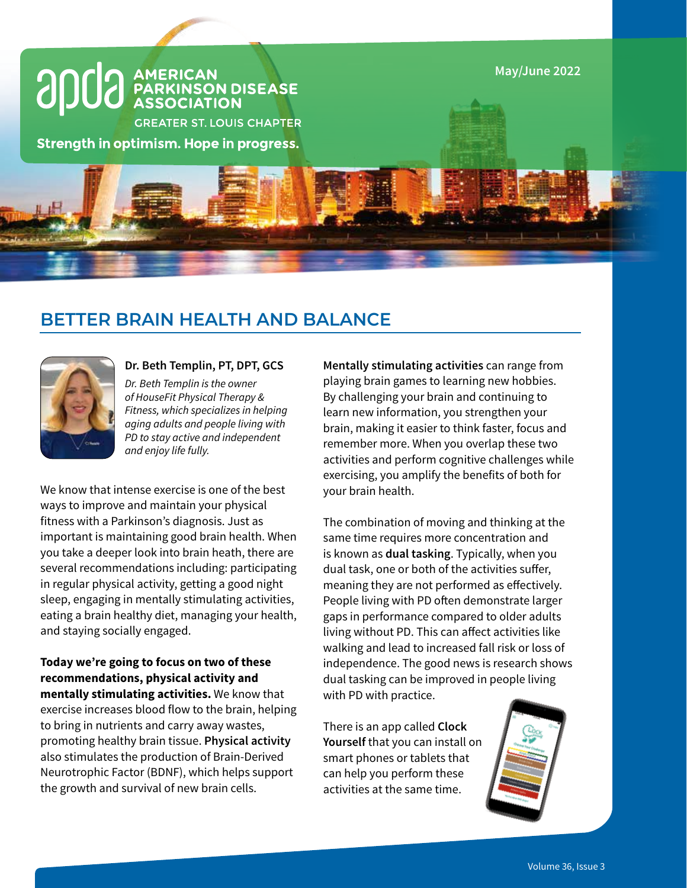

# **BETTER BRAIN HEALTH AND BALANCE**



### **Dr. Beth Templin, PT, DPT, GCS**

*Dr. Beth Templin is the owner of HouseFit Physical Therapy & Fitness, which specializes in helping aging adults and people living with PD to stay active and independent and enjoy life fully.*

We know that intense exercise is one of the best ways to improve and maintain your physical fitness with a Parkinson's diagnosis. Just as important is maintaining good brain health. When you take a deeper look into brain heath, there are several recommendations including: participating in regular physical activity, getting a good night sleep, engaging in mentally stimulating activities, eating a brain healthy diet, managing your health, and staying socially engaged.

**Today we're going to focus on two of these recommendations, physical activity and mentally stimulating activities.** We know that exercise increases blood flow to the brain, helping to bring in nutrients and carry away wastes, promoting healthy brain tissue. **Physical activity** also stimulates the production of Brain-Derived Neurotrophic Factor (BDNF), which helps support the growth and survival of new brain cells.

**Mentally stimulating activities** can range from playing brain games to learning new hobbies. By challenging your brain and continuing to learn new information, you strengthen your brain, making it easier to think faster, focus and remember more. When you overlap these two activities and perform cognitive challenges while exercising, you amplify the benefits of both for your brain health.

The combination of moving and thinking at the same time requires more concentration and is known as **dual tasking**. Typically, when you dual task, one or both of the activities suffer, meaning they are not performed as effectively. People living with PD often demonstrate larger gaps in performance compared to older adults living without PD. This can affect activities like walking and lead to increased fall risk or loss of independence. The good news is research shows dual tasking can be improved in people living with PD with practice.

There is an app called **Clock Yourself** that you can install on smart phones or tablets that can help you perform these activities at the same time.

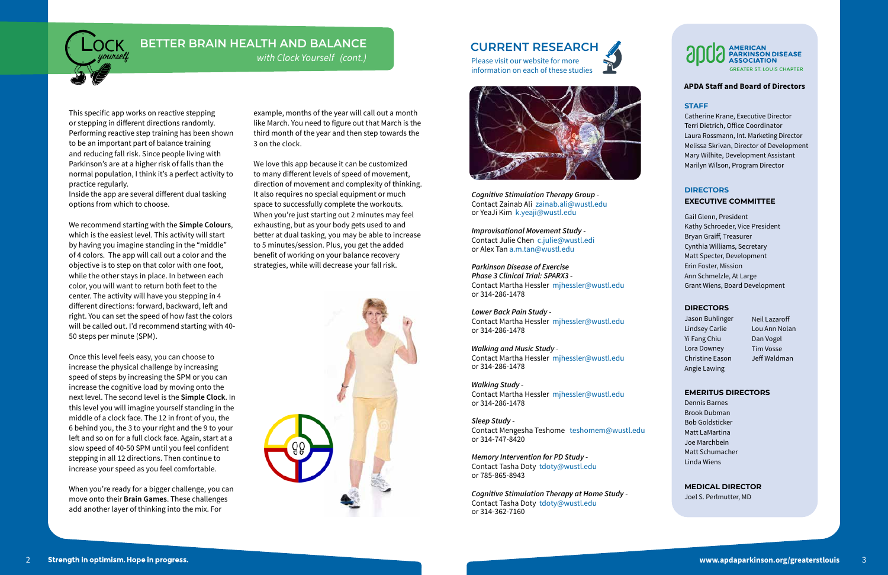# **AMERICAN<br>PARKINSON DISEASE<br>ASSOCIATION REATER ST. LOUIS CHAPTER**

#### **APDA Staff and Board of Directors**

### **STAFF**

Catherine Krane, Executive Director Terri Dietrich, Office Coordinator Laura Rossmann, Int. Marketing Director Melissa Skrivan, Director of Development Mary Wilhite, Development Assistant Marilyn Wilson, Program Director

### **DIRECTORS EXECUTIVE COMMITTEE**

Gail Glenn, President Kathy Schroeder, Vice President Bryan Graiff, Treasurer Cynthia Williams, Secretary Matt Specter, Development Erin Foster, Mission Ann Schmelzle, At Large Grant Wiens, Board Development

### **DIRECTORS**

Jason Buhlinger Lindsey Carlie Yi Fang Chiu Lora Downey Christine Eason Angie Lawing

#### **EMERITUS DIRECTORS**

Dennis Barnes Brook Dubman Bob Goldsticker Matt LaMartina Joe Marchbein Matt Schumacher Linda Wiens

### **MEDICAL DIRECTOR**

Joel S. Perlmutter, MD

Neil Lazaroff Lou Ann Nolan Dan Vogel Tim Vosse Jeff Waldman

*Cognitive Stimulation Therapy Group* - Contact Zainab Ali zainab.ali@wustl.edu or YeaJi Kim k.yeaji@wustl.edu

*Improvisational Movement Study -* Contact Julie Chen c.julie@wustl.edi or Alex Tan a.m.tan@wustl.edu

*Parkinson Disease of Exercise Phase 3 Clinical Trial: SPARX3* - Contact Martha Hessler mjhessler@wustl.edu or 314-286-1478

*Lower Back Pain Study* - Contact Martha Hessler mjhessler@wustl.edu or 314-286-1478

*Walking and Music Study* - Contact Martha Hessler mjhessler@wustl.edu or 314-286-1478

*Walking Study* - Contact Martha Hessler mjhessler@wustl.edu or 314-286-1478

*Sleep Study* - Contact Mengesha Teshome teshomem@wustl.edu or 314-747-8420

*Memory Intervention for PD Study* - Contact Tasha Doty tdoty@wustl.edu or 785-865-8943

*Cognitive Stimulation Therapy at Home Study* - Contact Tasha Doty tdoty@wustl.edu or 314-362-7160

# **BETTER BRAIN HEALTH AND BALANCE**

*with Clock Yourself (cont.)*

This specific app works on reactive stepping or stepping in different directions randomly. Performing reactive step training has been shown to be an important part of balance training and reducing fall risk. Since people living with Parkinson's are at a higher risk of falls than the normal population, I think it's a perfect activity to practice regularly.

Inside the app are several different dual tasking options from which to choose.

We recommend starting with the **Simple Colours**, which is the easiest level. This activity will start by having you imagine standing in the "middle" of 4 colors. The app will call out a color and the objective is to step on that color with one foot, while the other stays in place. In between each color, you will want to return both feet to the center. The activity will have you stepping in 4 different directions: forward, backward, left and right. You can set the speed of how fast the colors will be called out. I'd recommend starting with 40- 50 steps per minute (SPM).

Once this level feels easy, you can choose to increase the physical challenge by increasing speed of steps by increasing the SPM or you can increase the cognitive load by moving onto the next level. The second level is the **Simple Clock**. In this level you will imagine yourself standing in the middle of a clock face. The 12 in front of you, the 6 behind you, the 3 to your right and the 9 to your left and so on for a full clock face. Again, start at a slow speed of 40-50 SPM until you feel confident stepping in all 12 directions. Then continue to increase your speed as you feel comfortable.

When you're ready for a bigger challenge, you can move onto their **Brain Games**. These challenges add another layer of thinking into the mix. For

example, months of the year will call out a month like March. You need to figure out that March is the third month of the year and then step towards the 3 on the clock.

We love this app because it can be customized to many different levels of speed of movement, direction of movement and complexity of thinking. It also requires no special equipment or much space to successfully complete the workouts. When you're just starting out 2 minutes may feel exhausting, but as your body gets used to and better at dual tasking, you may be able to increase to 5 minutes/session. Plus, you get the added benefit of working on your balance recovery strategies, while will decrease your fall risk.



# **CURRENT RESEARCH**

Please visit our website for more information on each of these studies



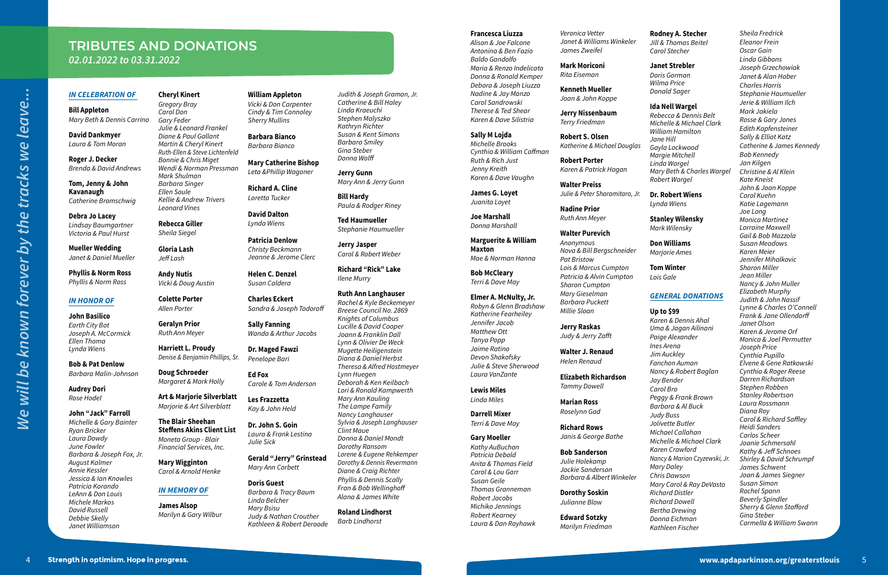#### *IN CELEBRATION OF*

**Bill Appleton** *Mary Beth & Dennis Carrino*

**David Dankmyer** *Laura & Tom Moran*

**Roger J. Decker** *Brenda & David Andrews*

**Tom, Jenny & John Kavanaugh** *Catherine Bromschwig*

**Debra Jo Lacey** *Lindsay Baumgartner Victoria & Paul Hurst*

**Mueller Wedding** *Janet & Daniel Mueller*

**Phyllis & Norm Ross** *Phyllis & Norm Ross*

#### *IN HONOR OF*

**John Basilico** *Earth City Bot Joseph A. McCormick Ellen Thoma Lynda Wiens*

**Bob & Pat Denlow** *Barbara Malin-Johnson*

**Audrey Dori** *Rose Hodel*

#### **John "Jack" Farroll** *Michelle & Gary Bainter Ryan Bricker Laura Dowdy June Fowler Barbara & Joseph Fox, Jr. August Kalmer Annie Kessler Jessica & Ian Knowles Patricia Korando LeAnn & Don Louis Michele Markos*

*David Russell Debbie Skelly Janet Williamson*

#### **Cheryl Kinert**

*Gregory Bray Carol Don Gary Feder Julie & Leonard Frankel Diane & Paul Gallant Martin & Cheryl Kinert Ruth-Ellen & Steve Lichtenfeld Bonnie & Chris Miget Wendi & Norman Pressman Mark Shulman Barbara Singer Ellen Soule Kellie & Andrew Trivers*

*Leonard Vines*

**Rebecca Giller** *Sheila Siegel*

**Gloria Lash** *Jeff Lash*

> **Andy Nutis** *Vicki & Doug Austin*

**Colette Porter** *Allen Porter*

**Geralyn Prior** *Ruth Ann Meyer*

**Harriett L. Proudy** *Denise & Benjamin Phillips, Sr.*

**Doug Schroeder** *Margaret & Mark Holly*

**Art & Marjorie Silverblatt** *Marjorie & Art Silverblatt*

**The Blair Sheehan Steffens Akins Client List** *Moneta Group - Blair Financial Services, Inc.*

**Mary Wigginton** *Carol & Arnold Henke*

### *IN MEMORY OF*

**James Alsop** *Marilyn & Gary Wilbur*

#### **William Appleton**

*Vicki & Don Carpenter Cindy & Tim Connoley Sherry Mullins*

**Barbara Bianco** *Barbara Bianco*

**Mary Catherine Bishop** *Leta &Phillip Wagoner*

**Richard A. Cline** *Loretta Tucker*

**David Dalton** *Lynda Wiens*

**Patricia Denlow** *Christy Beckmann Jeanne & Jerome Clerc*

**Helen C. Denzel** *Susan Caldera*

**Charles Eckert** *Sandra & Joseph Todoroff*

**Sally Fanning** *Wanda & Arthur Jacobs*

**Dr. Maged Fawzi** *Penelope Bari*

**Ed Fox** *Carole & Tom Anderson*

**Les Frazzetta** *Kay & John Held*

**Dr. John S. Goin** *Laura & Frank Lestina Julie Sick*

**Gerald "Jerry" Grinstead** *Mary Ann Corbett*

**Doris Guest** *Barbara & Tracy Baum Linda Belcher Mary Bsisu Judy & Nathan Crouther Kathleen & Robert Deroode* *Judith & Joseph Graman, Jr. Catherine & Bill Haley Linda Kraeuchi Stephen Malyszko Kathryn Richter Susan & Kent Simons Barbara Smiley Gina Steber Donna Wolff*

**Jerry Gunn** *Mary Ann & Jerry Gunn*

**Bill Hardy** *Paula & Rodger Riney*

**Ted Haumueller** *Stephanie Haumueller*

**Jerry Jasper** *Carol & Robert Weber*

**Richard "Rick" Lake** *Ilene Murry*

**Ruth Ann Langhauser**

*Rachel & Kyle Beckemeyer Breese Council No. 2869 Knights of Columbus Lucille & David Cooper Joann & Franklin Dall Lynn & Olivier De Weck Mugette Heiligenstein Diana & Daniel Herbst Theresa & Alfred Hostmeyer Lynn Huegen Deborah & Ken Keilbach Lori & Ronald Kampwerth Mary Ann Kauling The Lampe Family Nancy Langhauser Sylvia & Joseph Langhauser Clint Maue Donna & Daniel Mondt Dorothy Ransom Lorene & Eugene Rehkemper Dorothy & Dennis Revermann Diane & Craig Richter Phyllis & Dennis Scally Fran & Bob Wellinghoff Alana & James White*

**Roland Lindhorst** *Barb Lindhorst*

#### **Francesca Liuzza**

*Alison & Joe Falcone Antonina & Ben Fazio Baldo Gandolfo Maria & Renzo Indelicato Donna & Ronald Kemper Debora & Joseph Liuzza Nadine & Jay Manzo Carol Sandrowski Therese & Ted Shear Karen & Dave Silistria*

4 **www.appendix.org/greaterstlowing**<br>1 **We will be known for the tracks we leave.**<br>1 **We will be known for the tracks we leave.**<br>1 **We will be known for the tracks we leave.** *Sheila Fredrick Eleanor Frein Oscar Gain Linda Gibbons Joseph Grzechowiak Janet & Alan Haber Charles Harris Stephanie Haumueller Jerie & William Ilch Mark Jakiela Rosse & Gary Jones Edith Kapfensteiner Sally & Elliot Katz Catherine & James Kennedy Bob Kennedy Jan Kilgen Christine & Al Klein Kate Kneist John & Joan Koppe Carol Kuehn Katie Lagemann Joe Long Monica Martinez Lorraine Maxwell Gail & Bob Mazzola Susan Meadows Karen Meier Jennifer Mihalkovic Sharon Miller Jean Miller Nancy & John Muller Elizabeth Murphy Judith & John Nassif Lynne & Charles O'Connell Frank & Jane Ollendorff Janet Olson Karen & Jerome Orf Monica & Joel Permutter Joseph Price Cynthia Pupillo Elvene & Gene Ratkowski Cynthia & Roger Reese Darren Richardson Stephen Robben Stanley Robertson Laura Rossmann Diana Roy Carol & Richard Saffley Heidi Sanders Carlos Scheer Joanie Schmersahl Kathy & Jeff Schnoes Shirley & David Schrumpf James Schwent Joan & James Siegner Susan Simon Rachel Spann Beverly Spindler Sherry & Glenn Stafford Gina Steber Carmella & William Swann*

**Sally M Lojda** *Michelle Brooks Cynthia & William Coffman Ruth & Rich Just Jenny Kreith Karen & Dave Vaughn*

**James G. Loyet** *Juanita Loyet*

**Joe Marshall** *Donna Marshall*

**Marguerite & William Maxton** *Mae & Norman Hanna*

**Bob McCleary** *Terri & Dave May*

#### **Elmer A. McNulty, Jr.** *Robyn & Glenn Bradshaw Katherine Fearheiley Jennifer Jacob Matthew Ott Tanya Popp*

*Jaime Ratino Devon Shakofsky Julie & Steve Sherwood Laura VanZante*

**Lewis Miles**

*Linda Miles*

**Darrell Mixer** *Terri & Dave May*

#### **Gary Moeller**

*Kathy AuBuchon Patricia Debold Anita & Thomas Field Carol & Lou Garr Susan Geile Thomas Granneman Robert Jacobs Michiko Jennings Robert Kearney Laura & Dan Rayhawk* *Veronica Vetter Janet & Williams Winkeler James Zweifel*

**Mark Moriconi** *Rita Eiseman*

**Kenneth Mueller** *Joan & John Koppe*

**Jerry Nissenbaum** *Terry Friedman*

**Robert S. Olsen** *Katherine & Michael Douglas*

**Robert Porter** *Karen & Patrick Hagan*

**Walter Preiss** *Julie & Peter Sharamitaro, Jr.*

**Nadine Prior**

*Ruth Ann Meyer*

#### **Walter Purevich**

*Anonymous Nova & Bill Bergschneider Pat Bristow Lois & Marcus Cumpton Patricia & Alvin Cumpton Sharon Cumpton Mary Gieselman Barbara Puckett Millie Sloan*

**Jerry Raskas** *Judy & Jerry Zafft*

**Walter J. Renaud** *Helen Renaud*

**Elizabeth Richardson** *Tammy Dowell*

**Marian Ross** *Roselynn Gad*

**Richard Rows** *Janis & George Bathe*

**Bob Sanderson**

*Julie Holekamp Jackie Sanderson Barbara & Albert Winkeler* 

**Dorothy Soskin** *Julianne Blow*

**Edward Sotzky** *Marilyn Friedman*

#### **Rodney A. Stecher**

*Jill & Thomas Beitel Carol Stecher*

#### **Janet Strebler**

*Doris Gorman Wilma Price Donald Sager*

#### **Ida Nell Wargel**

*Rebecca & Dennis Belt Michelle & Michael Clark William Hamilton Jane Hill Gayla Lockwood Margie Mitchell Linda Wargel Mary Beth & Charles Wargel Robert Wargel*

#### **Dr. Robert Wiens**

*Lynda Wiens*

#### **Stanley Wilensky**

*Mark Wilensky*

### **Don Williams**

*Marjorie Ames*

### **Tom Winter**

*Lois Gale*

#### *GENERAL DONATIONS*

#### **Up to \$99**

*Karen & Dennis Ahal Uma & Jagan Ailinani Paige Alexander Ines Arena Jim Auckley Fanchon Auman Nancy & Robert Baglan Jay Bender Carol Bro Peggy & Frank Brown Barbara & Al Buck Judy Buss Jolivette Butler Michael Callahan Michelle & Michael Clark Karen Crawford Nancy & Marian Czyzewski, Jr. Mary Daley Chris Dawson Mary Carol & Ray DeVasto Richard Distler Richard Dowell Bertha Drewing Donna Eichman*

*Kathleen Fischer*

# **TRIBUTES AND DONATIONS** *02.01.2022 to 03.31.2022*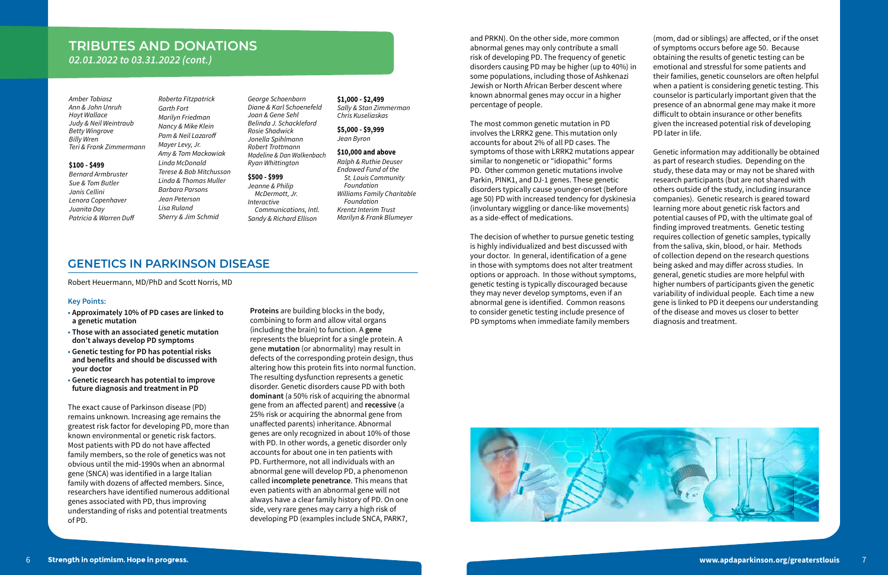# **TRIBUTES AND DONATIONS**

*02.01.2022 to 03.31.2022 (cont.)*

#### **Key Points:**

- **• Approximately 10% of PD cases are linked to a genetic mutation**
- **• Those with an associated genetic mutation don't always develop PD symptoms**
- **• Genetic testing for PD has potential risks and benefits and should be discussed with your doctor**
- **• Genetic research has potential to improve future diagnosis and treatment in PD**

The exact cause of Parkinson disease (PD) remains unknown. Increasing age remains the greatest risk factor for developing PD, more than known environmental or genetic risk factors. Most patients with PD do not have affected family members, so the role of genetics was not obvious until the mid-1990s when an abnormal gene (SNCA) was identified in a large Italian family with dozens of affected members. Since, researchers have identified numerous additional genes associated with PD, thus improving understanding of risks and potential treatments of PD.

**Proteins** are building blocks in the body, combining to form and allow vital organs (including the brain) to function. A **gene**  represents the blueprint for a single protein. A gene **mutation** (or abnormality) may result in defects of the corresponding protein design, thus altering how this protein fits into normal function. The resulting dysfunction represents a genetic disorder. Genetic disorders cause PD with both **dominant** (a 50% risk of acquiring the abnormal gene from an affected parent) and **recessive** (a 25% risk or acquiring the abnormal gene from unaffected parents) inheritance. Abnormal genes are only recognized in about 10% of those with PD. In other words, a genetic disorder only accounts for about one in ten patients with PD. Furthermore, not all individuals with an abnormal gene will develop PD, a phenomenon called **incomplete penetrance**. This means that even patients with an abnormal gene will not always have a clear family history of PD. On one side, very rare genes may carry a high risk of developing PD (examples include SNCA, PARK7,



and PRKN). On the other side, more common abnormal genes may only contribute a small risk of developing PD. The frequency of genetic disorders causing PD may be higher (up to 40%) in some populations, including those of Ashkenazi Jewish or North African Berber descent where known abnormal genes may occur in a higher percentage of people.

The most common genetic mutation in PD involves the LRRK2 gene. This mutation only accounts for about 2% of all PD cases. The symptoms of those with LRRK2 mutations appear similar to nongenetic or "idiopathic" forms PD. Other common genetic mutations involve Parkin, PINK1, and DJ-1 genes. These genetic disorders typically cause younger-onset (before age 50) PD with increased tendency for dyskinesia (involuntary wiggling or dance-like movements) as a side-effect of medications.

The decision of whether to pursue genetic testing is highly individualized and best discussed with your doctor. In general, identification of a gene in those with symptoms does not alter treatment options or approach. In those without symptoms, genetic testing is typically discouraged because they may never develop symptoms, even if an abnormal gene is identified. Common reasons to consider genetic testing include presence of PD symptoms when immediate family members

(mom, dad or siblings) are affected, or if the onset of symptoms occurs before age 50. Because obtaining the results of genetic testing can be emotional and stressful for some patients and their families, genetic counselors are often helpful when a patient is considering genetic testing. This counselor is particularly important given that the presence of an abnormal gene may make it more difficult to obtain insurance or other benefits given the increased potential risk of developing PD later in life.

Genetic information may additionally be obtained as part of research studies. Depending on the study, these data may or may not be shared with research participants (but are not shared with others outside of the study, including insurance companies). Genetic research is geared toward learning more about genetic risk factors and potential causes of PD, with the ultimate goal of finding improved treatments. Genetic testing requires collection of genetic samples, typically from the saliva, skin, blood, or hair. Methods of collection depend on the research questions being asked and may differ across studies. In general, genetic studies are more helpful with higher numbers of participants given the genetic variability of individual people. Each time a new gene is linked to PD it deepens our understanding of the disease and moves us closer to better diagnosis and treatment.

*Amber Tobiasz Ann & John Unruh Hoyt Wallace Judy & Neil Weintraub Betty Wingrove Billy Wren Teri & Frank Zimmermann*

#### **\$100 - \$499**

*Bernard Armbruster Sue & Tom Butler Janis Cellini Lenora Copenhaver Juanita Day Patricia & Warren Duff*

*Roberta Fitzpatrick Garth Fort Marilyn Friedman Nancy & Mike Klein Pam & Neil Lazaroff Mayer Levy, Jr. Amy & Tom Mackowiak Linda McDonald Terese & Bob Mitchusson Linda & Thomas Muller Barbara Parsons Jean Peterson Lisa Ruland Sherry & Jim Schmid*

*George Schoenborn Diane & Karl Schoenefeld Joan & Gene Sehl Belinda J. Schackleford Rosie Shadwick Jonella Spihlmann Robert Trottmann Madeline & Dan Walkenbach Ryan Whittington*

## **\$500 - \$999**

*Jeanne & Philip McDermott, Jr. Interactive Communications, Intl. Sandy & Richard Ellison*

### **\$1,000 - \$2,499**

*Sally & Stan Zimmerman Chris Kuseliaskas*

#### **\$5,000 - \$9,999** *Jean Byron*

#### **\$10,000 and above**

*Ralph & Ruthie Deuser Endowed Fund of the St. Louis Community Foundation Williams Family Charitable Foundation Krentz Interim Trust Marilyn & Frank Blumeyer*

## **GENETICS IN PARKINSON DISEASE**

Robert Heuermann, MD/PhD and Scott Norris, MD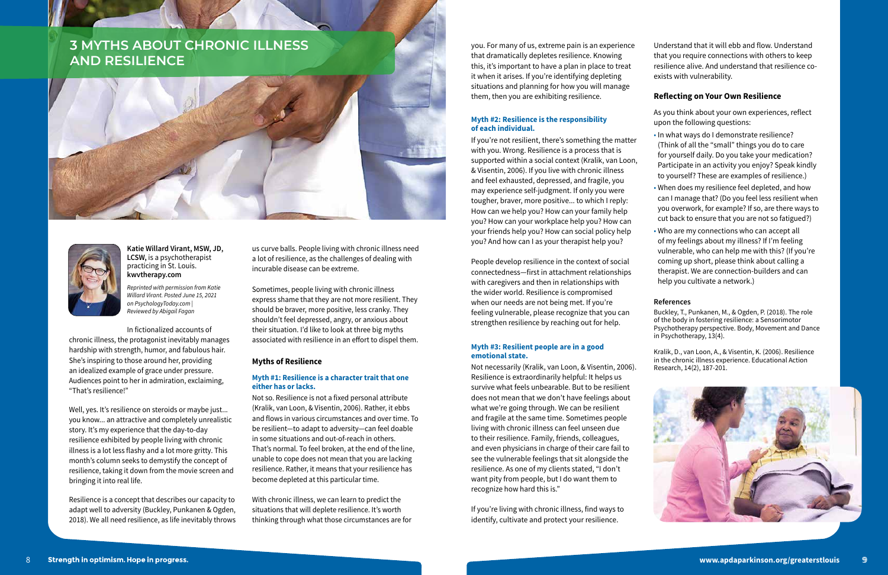### **Katie Willard Virant, MSW, JD, LCSW,** is a psychotherapist practicing in St. Louis. **kwvtherapy.com**

*Reprinted with permission from Katie Willard Virant. Posted June 15, 2021 on PsychologyToday.com | Reviewed by Abigail Fagan* 

In fictionalized accounts of chronic illness, the protagonist inevitably manages hardship with strength, humor, and fabulous hair. She's inspiring to those around her, providing an idealized example of grace under pressure. Audiences point to her in admiration, exclaiming, "That's resilience!"

Well, yes. It's resilience on steroids or maybe just... you know... an attractive and completely unrealistic story. It's my experience that the day-to-day resilience exhibited by people living with chronic illness is a lot less flashy and a lot more gritty. This month's column seeks to demystify the concept of resilience, taking it down from the movie screen and bringing it into real life.

Resilience is a concept that describes our capacity to adapt well to adversity (Buckley, Punkanen & Ogden, 2018). We all need resilience, as life inevitably throws us curve balls. People living with chronic illness need a lot of resilience, as the challenges of dealing with incurable disease can be extreme.

Sometimes, people living with chronic illness express shame that they are not more resilient. They should be braver, more positive, less cranky. They shouldn't feel depressed, angry, or anxious about their situation. I'd like to look at three big myths associated with resilience in an effort to dispel them.

#### **Myths of Resilience**

#### **Myth #1: Resilience is a character trait that one either has or lacks.**

Not so. Resilience is not a fixed personal attribute (Kralik, van Loon, & Visentin, 2006). Rather, it ebbs and flows in various circumstances and over time. To be resilient—to adapt to adversity—can feel doable in some situations and out-of-reach in others. That's normal. To feel broken, at the end of the line, unable to cope does not mean that you are lacking resilience. Rather, it means that your resilience has become depleted at this particular time.

With chronic illness, we can learn to predict the situations that will deplete resilience. It's worth thinking through what those circumstances are for

# **3 MYTHS ABOUT CHRONIC ILLNESS AND RESILIENCE**





you. For many of us, extreme pain is an experience that dramatically depletes resilience. Knowing this, it's important to have a plan in place to treat it when it arises. If you're identifying depleting situations and planning for how you will manage them, then you are exhibiting resilience.

### **Myth #2: Resilience is the responsibility of each individual.**

If you're not resilient, there's something the matter with you. Wrong. Resilience is a process that is supported within a social context (Kralik, van Loon, & Visentin, 2006). If you live with chronic illness and feel exhausted, depressed, and fragile, you may experience self-judgment. If only you were tougher, braver, more positive... to which I reply: How can we help you? How can your family help you? How can your workplace help you? How can your friends help you? How can social policy help you? And how can I as your therapist help you?

People develop resilience in the context of social connectedness—first in attachment relationships with caregivers and then in relationships with the wider world. Resilience is compromised when our needs are not being met. If you're feeling vulnerable, please recognize that you can strengthen resilience by reaching out for help.

#### **Myth #3: Resilient people are in a good emotional state.**

Not necessarily (Kralik, van Loon, & Visentin, 2006). Resilience is extraordinarily helpful: It helps us survive what feels unbearable. But to be resilient does not mean that we don't have feelings about what we're going through. We can be resilient and fragile at the same time. Sometimes people living with chronic illness can feel unseen due to their resilience. Family, friends, colleagues, and even physicians in charge of their care fail to see the vulnerable feelings that sit alongside the resilience. As one of my clients stated, "I don't want pity from people, but I do want them to recognize how hard this is."

If you're living with chronic illness, find ways to identify, cultivate and protect your resilience.

Understand that it will ebb and flow. Understand that you require connections with others to keep resilience alive. And understand that resilience coexists with vulnerability.

### **Reflecting on Your Own Resilience**

As you think about your own experiences, reflect upon the following questions:

- In what ways do I demonstrate resilience? (Think of all the "small" things you do to care for yourself daily. Do you take your medication? Participate in an activity you enjoy? Speak kindly to yourself? These are examples of resilience.)
- When does my resilience feel depleted, and how can I manage that? (Do you feel less resilient when you overwork, for example? If so, are there ways to cut back to ensure that you are not so fatigued?)
- Who are my connections who can accept all of my feelings about my illness? If I'm feeling vulnerable, who can help me with this? (If you're coming up short, please think about calling a therapist. We are connection-builders and can help you cultivate a network.)

#### **References**

Buckley, T., Punkanen, M., & Ogden, P. (2018). The role of the body in fostering resilience: a Sensorimotor Psychotherapy perspective. Body, Movement and Dance in Psychotherapy, 13(4).

Kralik, D., van Loon, A., & Visentin, K. (2006). Resilience in the chronic illness experience. Educational Action Research, 14(2), 187-201.

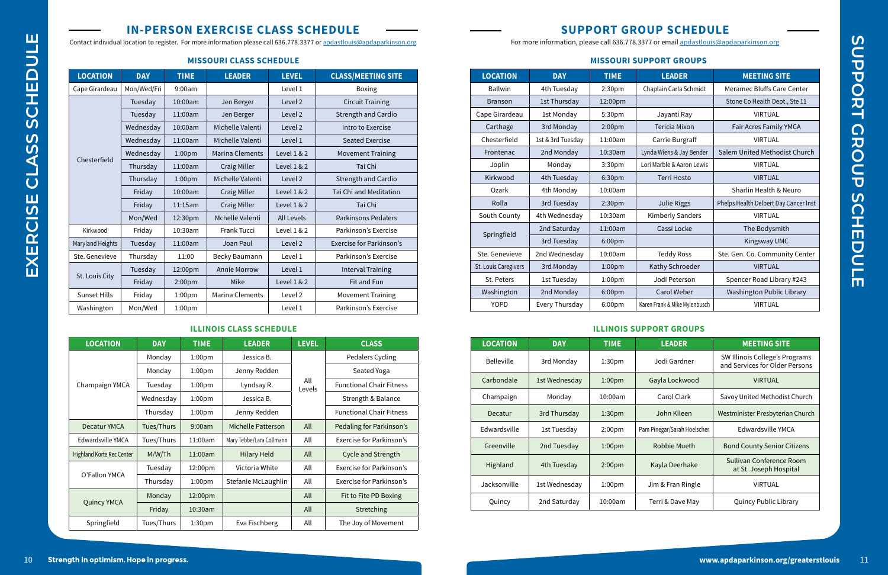# **IN-PERSON EXERCISE CLASS SCHEDULE**

Contact individual location to register. For more information please call 636.778.3377 or apdastlouis@apdaparkinson.org

# **SUPPORT GROUP SCHEDULE**

For more information, please call 636.778.3377 or email apdastlouis@apdaparkinson.org

## **MISSOURI SUPPORT GROUPS**

| <b>LOCATION</b>      | <b>DAY</b>        | <b>TIME</b>        | <b>LEADER</b>                 | <b>MEETING SITE</b>                   |
|----------------------|-------------------|--------------------|-------------------------------|---------------------------------------|
| <b>Ballwin</b>       | 4th Tuesday       | 2:30pm             | Chaplain Carla Schmidt        | Meramec Bluffs Care Center            |
| <b>Branson</b>       | 1st Thursday      | 12:00pm            |                               | Stone Co Health Dept., Ste 11         |
| Cape Girardeau       | 1st Monday        | 5:30pm             | Jayanti Ray                   | VIRTUAL                               |
| Carthage             | 3rd Monday        | 2:00pm             | Tericia Mixon                 | Fair Acres Family YMCA                |
| Chesterfield         | 1st & 3rd Tuesday | 11:00am            | Carrie Burgraff               | VIRTUAL                               |
| Frontenac            | 2nd Monday        | 10:30am            | Lynda Wiens & Jay Bender      | Salem United Methodist Church         |
| Joplin               | Monday            | 3:30pm             | Lori Marble & Aaron Lewis     | <b>VIRTUAL</b>                        |
| Kirkwood             | 4th Tuesday       | 6:30pm             | <b>Terri Hosto</b>            | <b>VIRTUAL</b>                        |
| Ozark                | 4th Monday        | 10:00am            |                               | Sharlin Health & Neuro                |
| Rolla                | 3rd Tuesday       | 2:30 <sub>pm</sub> | Julie Riggs                   | Phelps Health Delbert Day Cancer Inst |
| South County         | 4th Wednesday     | 10:30am            | <b>Kimberly Sanders</b>       | <b>VIRTUAL</b>                        |
| Springfield          | 2nd Saturday      | 11:00am            | Cassi Locke                   | The Bodysmith                         |
|                      | 3rd Tuesday       | 6:00 <sub>pm</sub> |                               | Kingsway UMC                          |
| Ste. Genevieve       | 2nd Wednesday     | 10:00am            | <b>Teddy Ross</b>             | Ste. Gen. Co. Community Center        |
| St. Louis Caregivers | 3rd Monday        | 1:00 <sub>pm</sub> | Kathy Schroeder               | <b>VIRTUAL</b>                        |
| St. Peters           | 1st Tuesday       | 1:00 <sub>pm</sub> | Jodi Peterson                 | Spencer Road Library #243             |
| Washington           | 2nd Monday        | 6:00pm             | Carol Weber                   | Washington Public Library             |
| <b>YOPD</b>          | Every Thursday    | 6:00pm             | Karen Frank & Mike Mylenbusch | <b>VIRTUAL</b>                        |

### **MISSOURI CLASS SCHEDULE**

| <b>LOCATION</b>     | <b>DAY</b>  | <b>TIME</b>        | <b>LEADER</b>      | <b>LEVEL</b> | <b>CLASS/MEETING SITE</b>  |
|---------------------|-------------|--------------------|--------------------|--------------|----------------------------|
| Cape Girardeau      | Mon/Wed/Fri | 9:00am             |                    | Level 1      | <b>Boxing</b>              |
| Chesterfield        | Tuesday     | 10:00am            | Jen Berger         | Level 2      | <b>Circuit Training</b>    |
|                     | Tuesday     | 11:00am            | Jen Berger         | Level 2      | Strength and Cardio        |
|                     | Wednesday   | 10:00am            | Michelle Valenti   | Level 2      | Intro to Exercise          |
|                     | Wednesday   | 11:00am            | Michelle Valenti   | Level 1      | Seated Exercise            |
|                     | Wednesday   | 1:00 <sub>pm</sub> | Marina Clements    | Level 1 & 2  | <b>Movement Training</b>   |
|                     | Thursday    | 11:00am            | Craig Miller       | Level 1 & 2  | Tai Chi                    |
|                     | Thursday    | 1:00 <sub>pm</sub> | Michelle Valenti   | Level 2      | Strength and Cardio        |
|                     | Friday      | 10:00am            | Craig Miller       | Level 1 & 2  | Tai Chi and Meditation     |
|                     | Friday      | 11:15am            | Craig Miller       | Level 1 & 2  | Tai Chi                    |
|                     | Mon/Wed     | 12:30pm            | Mchelle Valenti    | All Levels   | <b>Parkinsons Pedalers</b> |
| Kirkwood            | Friday      | 10:30am            | <b>Frank Tucci</b> | Level 1 & 2  | Parkinson's Exercise       |
| Maryland Heights    | Tuesday     | 11:00am            | Joan Paul          | Level 2      | Exercise for Parkinson's   |
| Ste. Genevieve      | Thursday    | 11:00              | Becky Baumann      | Level 1      | Parkinson's Exercise       |
| St. Louis City      | Tuesday     | 12:00pm            | Annie Morrow       | Level 1      | <b>Interval Training</b>   |
|                     | Friday      | 2:00 <sub>pm</sub> | Mike               | Level 1 & 2  | Fit and Fun                |
| <b>Sunset Hills</b> | Friday      | 1:00 <sub>pm</sub> | Marina Clements    | Level 2      | <b>Movement Training</b>   |
| Washington          | Mon/Wed     | 1:00 <sub>pm</sub> |                    | Level 1      | Parkinson's Exercise       |

### **ILLINOIS CLASS SCHEDULE**

| <b>LOCATION</b>                  | <b>DAY</b> | <b>TIME</b>        | <b>LEADER</b>            | <b>LEVEL</b>  | <b>CLASS</b>                    |
|----------------------------------|------------|--------------------|--------------------------|---------------|---------------------------------|
| Champaign YMCA                   | Monday     | 1:00pm             | Jessica B.               |               | Pedalers Cycling                |
|                                  | Monday     | 1:00 <sub>pm</sub> | Jenny Redden             |               | Seated Yoga                     |
|                                  | Tuesday    | 1:00 <sub>pm</sub> | Lyndsay R.               | All<br>Levels | <b>Functional Chair Fitness</b> |
|                                  | Wednesday  | 1:00 <sub>pm</sub> | Jessica B.               |               | Strength & Balance              |
|                                  | Thursday   | 1:00 <sub>pm</sub> | Jenny Redden             |               | <b>Functional Chair Fitness</b> |
| Decatur YMCA                     | Tues/Thurs | 9:00am             | Michelle Patterson       | All           | Pedaling for Parkinson's        |
| Edwardsville YMCA                | Tues/Thurs | 11:00am            | Mary Tebbe/Lara Collmann | All           | Exercise for Parkinson's        |
| <b>Highland Korte Rec Center</b> | M/W/Th     | 11:00am            | <b>Hilary Held</b>       | All           | <b>Cycle and Strength</b>       |
| O'Fallon YMCA                    | Tuesday    | 12:00pm            | Victoria White           | All           | Exercise for Parkinson's        |
|                                  | Thursday   | 1:00 <sub>pm</sub> | Stefanie McLaughlin      | All           | Exercise for Parkinson's        |
| <b>Quincy YMCA</b>               | Monday     | 12:00pm            |                          | All           | Fit to Fite PD Boxing           |
|                                  | Friday     | 10:30am            |                          | All           | Stretching                      |
| Springfield                      | Tues/Thurs | 1:30 <sub>pm</sub> | Eva Fischberg            | All           | The Joy of Movement             |

### **ILLINOIS SUPPORT GROUPS**

| <b>LOCATION</b>   | <b>DAY</b>    | <b>TIME</b>        | <b>LEADER</b>               | <b>MEETING SITE</b>                                              |
|-------------------|---------------|--------------------|-----------------------------|------------------------------------------------------------------|
| <b>Belleville</b> | 3rd Monday    | 1:30 <sub>pm</sub> | Jodi Gardner                | SW Illinois College's Programs<br>and Services for Older Persons |
| Carbondale        | 1st Wednesday | 1:00 <sub>pm</sub> | Gayla Lockwood              | <b>VIRTUAL</b>                                                   |
| Champaign         | Monday        | 10:00am            | Carol Clark                 | Savoy United Methodist Church                                    |
| Decatur           | 3rd Thursday  | 1:30 <sub>pm</sub> | John Kileen                 | Westminister Presbyterian Church                                 |
| Edwardsville      | 1st Tuesday   | 2:00 <sub>pm</sub> | Pam Pinegar/Sarah Hoelscher | Edwardsville YMCA                                                |
| Greenville        | 2nd Tuesday   | 1:00 <sub>pm</sub> | Robbie Mueth                | <b>Bond County Senior Citizens</b>                               |
| Highland          | 4th Tuesday   | 2:00 <sub>pm</sub> | Kayla Deerhake              | Sullivan Conference Room<br>at St. Joseph Hospital               |
| Jacksonville      | 1st Wednesday | 1:00 <sub>pm</sub> | Jim & Fran Ringle           | <b>VIRTUAL</b>                                                   |
| Quincy            | 2nd Saturday  | 10:00am            | Terri & Dave May            | Quincy Public Library                                            |